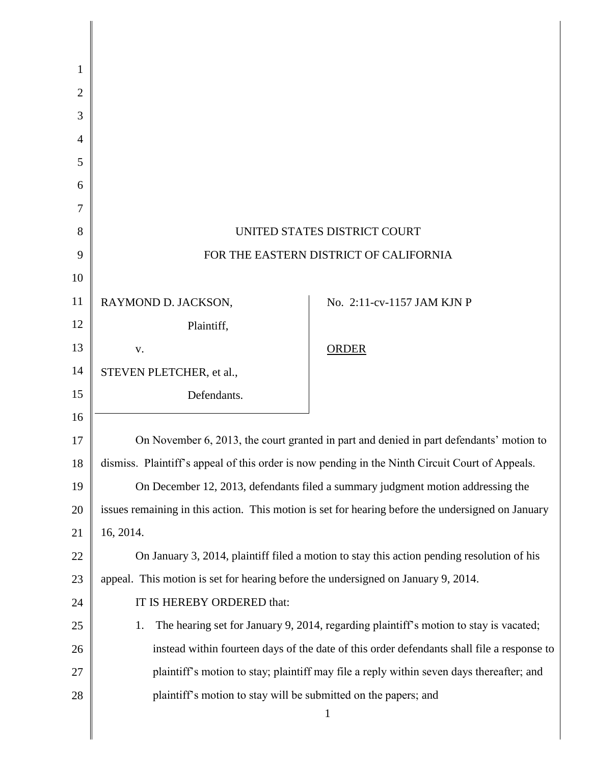| 1              |                                                                                                   |                            |
|----------------|---------------------------------------------------------------------------------------------------|----------------------------|
| $\overline{2}$ |                                                                                                   |                            |
| 3              |                                                                                                   |                            |
| 4              |                                                                                                   |                            |
| 5              |                                                                                                   |                            |
| 6              |                                                                                                   |                            |
| 7              |                                                                                                   |                            |
| 8              | UNITED STATES DISTRICT COURT                                                                      |                            |
| 9              | FOR THE EASTERN DISTRICT OF CALIFORNIA                                                            |                            |
| 10             |                                                                                                   |                            |
| 11             | RAYMOND D. JACKSON,                                                                               | No. 2:11-cv-1157 JAM KJN P |
| 12             | Plaintiff,                                                                                        |                            |
| 13             | V.                                                                                                | <b>ORDER</b>               |
| 14             | STEVEN PLETCHER, et al.,                                                                          |                            |
| 15             | Defendants.                                                                                       |                            |
| 16             |                                                                                                   |                            |
| 17             | On November 6, 2013, the court granted in part and denied in part defendants' motion to           |                            |
| 18             | dismiss. Plaintiff's appeal of this order is now pending in the Ninth Circuit Court of Appeals.   |                            |
| 19             | On December 12, 2013, defendants filed a summary judgment motion addressing the                   |                            |
| 20             | issues remaining in this action. This motion is set for hearing before the undersigned on January |                            |
| 21             | 16, 2014.                                                                                         |                            |
| 22             | On January 3, 2014, plaintiff filed a motion to stay this action pending resolution of his        |                            |
| 23             | appeal. This motion is set for hearing before the undersigned on January 9, 2014.                 |                            |
| 24             | IT IS HEREBY ORDERED that:                                                                        |                            |
| 25             | The hearing set for January 9, 2014, regarding plaintiff's motion to stay is vacated;<br>1.       |                            |
| 26             | instead within fourteen days of the date of this order defendants shall file a response to        |                            |
| 27             | plaintiff's motion to stay; plaintiff may file a reply within seven days thereafter; and          |                            |
| 28             | plaintiff's motion to stay will be submitted on the papers; and<br>$\mathbf{1}$                   |                            |
|                |                                                                                                   |                            |

∥